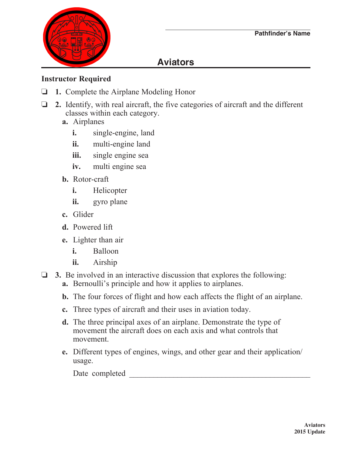

## **Aviators**

## **Instructor Required**

- o **1.** Complete the Airplane Modeling Honor
- $\Box$  2. Identify, with real aircraft, the five categories of aircraft and the different classes within each category.
	- **a.** Airplanes
		- **i.** single-engine, land
		- **ii.** multi-engine land
		- **iii.** single engine sea
		- **iv.** multi engine sea
	- **b.** Rotor-craft
		- **i.** Helicopter
		- **ii.** gyro plane
	- **c.** Glider
	- **d.** Powered lift
	- **e.** Lighter than air
		- **i.** Balloon
		- **ii.** Airship
- $\Box$  3. Be involved in an interactive discussion that explores the following:
	- **a.** Bernoulli's principle and how it applies to airplanes.
	- **b.** The four forces of flight and how each affects the flight of an airplane.
	- **c.** Three types of aircraft and their uses in aviation today.
	- **d.** The three principal axes of an airplane. Demonstrate the type of movement the aircraft does on each axis and what controls that movement.
	- **e.** Different types of engines, wings, and other gear and their application/ usage.

Date completed \_\_\_\_\_\_\_\_\_\_\_\_\_\_\_\_\_\_\_\_\_\_\_\_\_\_\_\_\_\_\_\_\_\_\_\_\_\_\_\_\_\_\_\_\_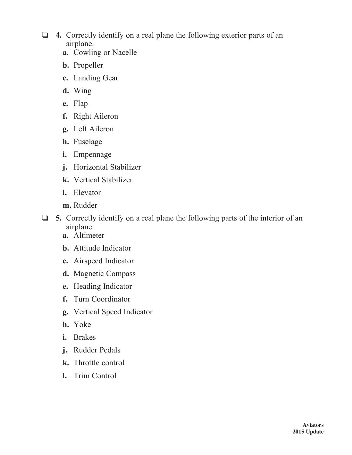- o **4.** Correctly identify on a real plane the following exterior parts of an airplane.
	- **a.** Cowling or Nacelle
	- **b.** Propeller
	- **c.** Landing Gear
	- **d.** Wing
	- **e.** Flap
	- **f.** Right Aileron
	- **g.** Left Aileron
	- **h.** Fuselage
	- **i.** Empennage
	- **j.** Horizontal Stabilizer
	- **k.** Vertical Stabilizer
	- **l.** Elevator
	- **m.** Rudder
- o **5.** Correctly identify on a real plane the following parts of the interior of an airplane.
	- **a.** Altimeter
	- **b.** Attitude Indicator
	- **c.** Airspeed Indicator
	- **d.** Magnetic Compass
	- **e.** Heading Indicator
	- **f.** Turn Coordinator
	- **g.** Vertical Speed Indicator
	- **h.** Yoke
	- **i.** Brakes
	- **j.** Rudder Pedals
	- **k.** Throttle control
	- **l.** Trim Control